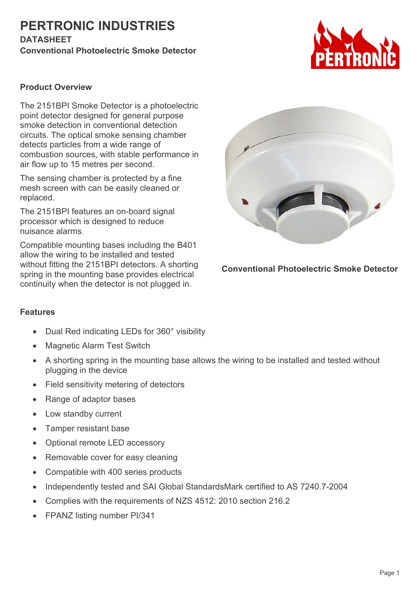## **PERTRONIC INDUSTRIES DATASHEET**

**Conventional Photoelectric Smoke Detector**



### **Product Overview**

The 2151BPI Smoke Detector is a photoelectric point detector designed for general purpose smoke detection in conventional detection circuits. The optical smoke sensing chamber detects particles from a wide range of combustion sources, with stable performance in air flow up to 15 metres per second.

The sensing chamber is protected by a fine mesh screen with can be easily cleaned or replaced.

The 2151BPI features an on-board signal processor which is designed to reduce nuisance alarms.

Compatible mounting bases including the B401 allow the wiring to be installed and tested without fitting the 2151BPI detectors. A shorting spring in the mounting base provides electrical continuity when the detector is not plugged in.



**Conventional Photoelectric Smoke Detector**

#### **Features**

- Dual Red indicating LEDs for 360° visibility
- Magnetic Alarm Test Switch
- A shorting spring in the mounting base allows the wiring to be installed and tested without plugging in the device
- Field sensitivity metering of detectors
- Range of adaptor bases
- Low standby current
- Tamper resistant base
- Optional remote LED accessory
- Removable cover for easy cleaning
- Compatible with 400 series products
- Independently tested and SAI Global StandardsMark certified to AS 7240.7-2004
- Complies with the requirements of NZS 4512: 2010 section 216.2
- FPANZ listing number PI/341